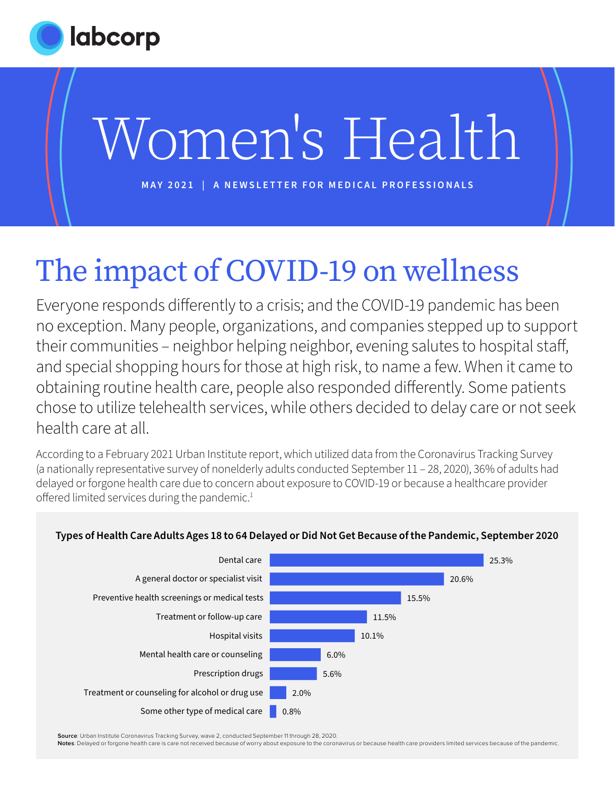

# Women's Health

**MAY 2021 | A NEWSLETTER FOR MEDICAL PROFESSIONALS**

## The impact of COVID-19 on wellness

Everyone responds differently to a crisis; and the COVID-19 pandemic has been no exception. Many people, organizations, and companies stepped up to support their communities – neighbor helping neighbor, evening salutes to hospital staff, and special shopping hours for those at high risk, to name a few. When it came to obtaining routine health care, people also responded differently. Some patients chose to utilize telehealth services, while others decided to delay care or not seek health care at all.

According to a February 2021 Urban Institute report, which utilized data from the Coronavirus Tracking Survey (a nationally representative survey of nonelderly adults conducted September 11 – 28, 2020), 36% of adults had delayed or forgone health care due to concern about exposure to COVID-19 or because a healthcare provider offered limited services during the pandemic.<sup>1</sup>



#### **Types of Health Care Adults Ages 18 to 64 Delayed or Did Not Get Because of the Pandemic, September 2020**

**Source**: Urban Institute Coronavirus Tracking Survey, wave 2, conducted September 11 through 28, 2020.

**Notes**: Delayed or forgone health care is care not received because of worry about exposure to the coronavirus or because health care providers limited services because of the pandemic.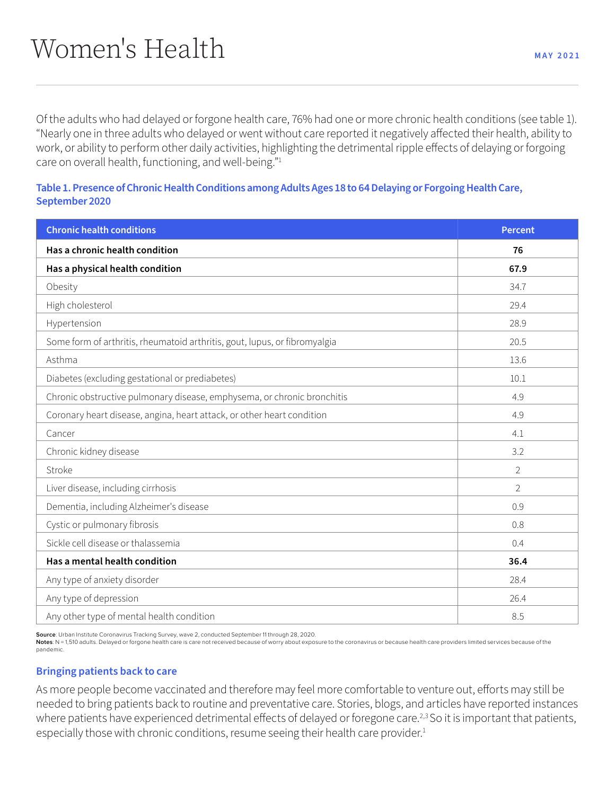Of the adults who had delayed or forgone health care, 76% had one or more chronic health conditions (see table 1). "Nearly one in three adults who delayed or went without care reported it negatively affected their health, ability to work, or ability to perform other daily activities, highlighting the detrimental ripple effects of delaying or forgoing care on overall health, functioning, and well-being."1

#### **Table 1. Presence of Chronic Health Conditions among Adults Ages 18 to 64 Delaying or Forgoing Health Care, September 2020**

| <b>Chronic health conditions</b>                                           | <b>Percent</b> |
|----------------------------------------------------------------------------|----------------|
| Has a chronic health condition                                             | 76             |
| Has a physical health condition                                            | 67.9           |
| Obesity                                                                    | 34.7           |
| High cholesterol                                                           | 29.4           |
| Hypertension                                                               | 28.9           |
| Some form of arthritis, rheumatoid arthritis, gout, lupus, or fibromyalgia | 20.5           |
| Asthma                                                                     | 13.6           |
| Diabetes (excluding gestational or prediabetes)                            | 10.1           |
| Chronic obstructive pulmonary disease, emphysema, or chronic bronchitis    | 4.9            |
| Coronary heart disease, angina, heart attack, or other heart condition     | 4.9            |
| Cancer                                                                     | 4.1            |
| Chronic kidney disease                                                     | 3.2            |
| Stroke                                                                     | $\overline{2}$ |
| Liver disease, including cirrhosis                                         | $\overline{2}$ |
| Dementia, including Alzheimer's disease                                    | 0.9            |
| Cystic or pulmonary fibrosis                                               | 0.8            |
| Sickle cell disease or thalassemia                                         | 0.4            |
| Has a mental health condition                                              | 36.4           |
| Any type of anxiety disorder                                               | 28.4           |
| Any type of depression                                                     | 26.4           |
| Any other type of mental health condition                                  | 8.5            |

**Source**: Urban Institute Coronavirus Tracking Survey, wave 2, conducted September 11 through 28, 2020.

Notes: N = 1,510 adults. Delayed or forgone health care is care not received because of worry about exposure to the coronavirus or because health care providers limited services because of the pandemic.

#### **Bringing patients back to care**

As more people become vaccinated and therefore may feel more comfortable to venture out, efforts may still be needed to bring patients back to routine and preventative care. Stories, blogs, and articles have reported instances where patients have experienced detrimental effects of delayed or foregone care.<sup>2,3</sup> So it is important that patients, especially those with chronic conditions, resume seeing their health care provider.<sup>1</sup>